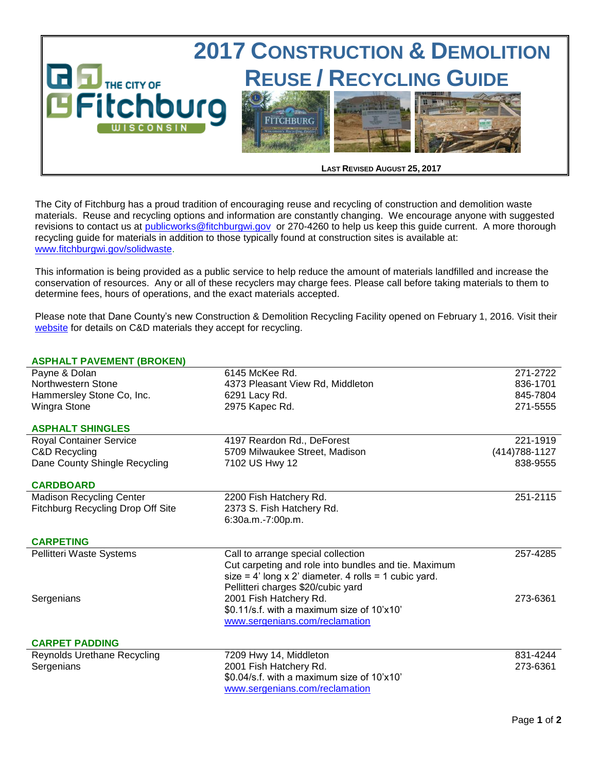

The City of Fitchburg has a proud tradition of encouraging reuse and recycling of construction and demolition waste materials. Reuse and recycling options and information are constantly changing. We encourage anyone with suggested revisions to contact us at [publicworks@fitchburgwi.gov](mailto:publicworks@fitchburgwi.gov) or 270-4260 to help us keep this guide current. A more thorough recycling guide for materials in addition to those typically found at construction sites is available at: [www.fitchburgwi.gov/solidwaste.](http://www.fitchburgwi.gov/solidwaste)

This information is being provided as a public service to help reduce the amount of materials landfilled and increase the conservation of resources. Any or all of these recyclers may charge fees. Please call before taking materials to them to determine fees, hours of operations, and the exact materials accepted.

Please note that Dane County's new Construction & Demolition Recycling Facility opened on February 1, 2016. Visit their [website](https://www.countyofdane.com/pwht/recycle/CD_Recycle.aspx) for details on C&D materials they accept for recycling.

## **ASPHALT PAVEMENT (BROKEN)**

| 6145 McKee Rd.                                                               | 271-2722                                                                                                                             |
|------------------------------------------------------------------------------|--------------------------------------------------------------------------------------------------------------------------------------|
| 4373 Pleasant View Rd, Middleton                                             | 836-1701                                                                                                                             |
|                                                                              | 845-7804                                                                                                                             |
| 2975 Kapec Rd.                                                               | 271-5555                                                                                                                             |
|                                                                              |                                                                                                                                      |
|                                                                              | 221-1919                                                                                                                             |
|                                                                              | (414) 788-1127                                                                                                                       |
| 7102 US Hwy 12                                                               | 838-9555                                                                                                                             |
|                                                                              |                                                                                                                                      |
|                                                                              | 251-2115                                                                                                                             |
|                                                                              |                                                                                                                                      |
| 6:30a.m.-7:00p.m.                                                            |                                                                                                                                      |
|                                                                              |                                                                                                                                      |
|                                                                              |                                                                                                                                      |
| Call to arrange special collection                                           | 257-4285                                                                                                                             |
| Cut carpeting and role into bundles and tie. Maximum                         |                                                                                                                                      |
| size = $4'$ long x 2' diameter. $4$ rolls = 1 cubic yard.                    |                                                                                                                                      |
| Pellitteri charges \$20/cubic yard                                           |                                                                                                                                      |
| 2001 Fish Hatchery Rd.                                                       | 273-6361                                                                                                                             |
| \$0.11/s.f. with a maximum size of 10'x10'                                   |                                                                                                                                      |
| www.sergenians.com/reclamation                                               |                                                                                                                                      |
|                                                                              |                                                                                                                                      |
| 7209 Hwy 14, Middleton                                                       | 831-4244                                                                                                                             |
| 2001 Fish Hatchery Rd.                                                       | 273-6361                                                                                                                             |
| \$0.04/s.f. with a maximum size of 10'x10'<br>www.sergenians.com/reclamation |                                                                                                                                      |
|                                                                              | 6291 Lacy Rd.<br>4197 Reardon Rd., DeForest<br>5709 Milwaukee Street, Madison<br>2200 Fish Hatchery Rd.<br>2373 S. Fish Hatchery Rd. |